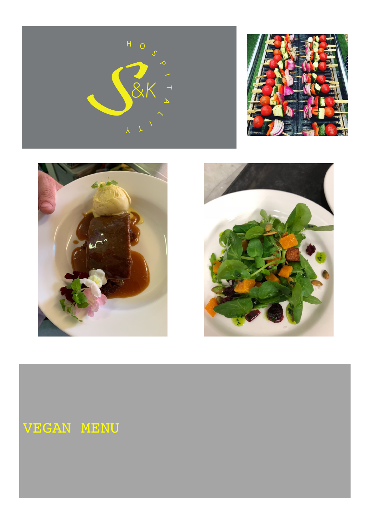







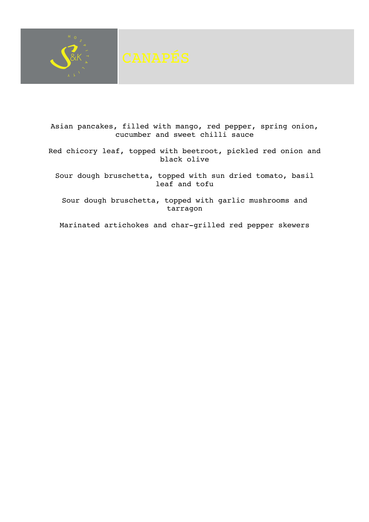

Asian pancakes, filled with mango, red pepper, spring onion, cucumber and sweet chilli sauce

Red chicory leaf, topped with beetroot, pickled red onion and black olive

Sour dough bruschetta, topped with sun dried tomato, basil leaf and tofu

Sour dough bruschetta, topped with garlic mushrooms and tarragon

Marinated artichokes and char-grilled red pepper skewers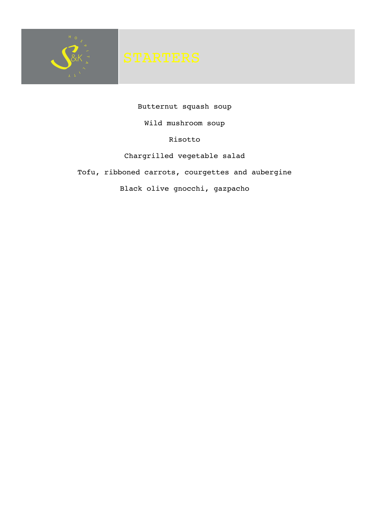

Butternut squash soup Wild mushroom soup Risotto Chargrilled vegetable salad Tofu, ribboned carrots, courgettes and aubergine Black olive gnocchi, gazpacho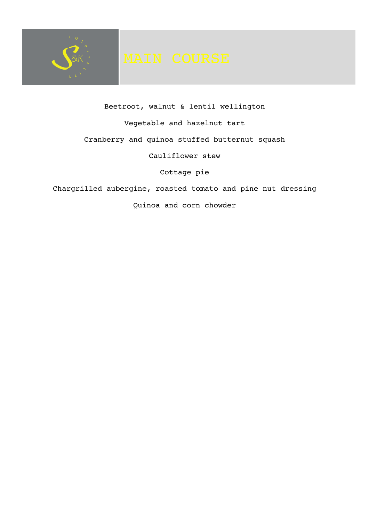

Beetroot, walnut & lentil wellington Vegetable and hazelnut tart Cranberry and quinoa stuffed butternut squash Cauliflower stew Cottage pie Chargrilled aubergine, roasted tomato and pine nut dressing

Quinoa and corn chowder